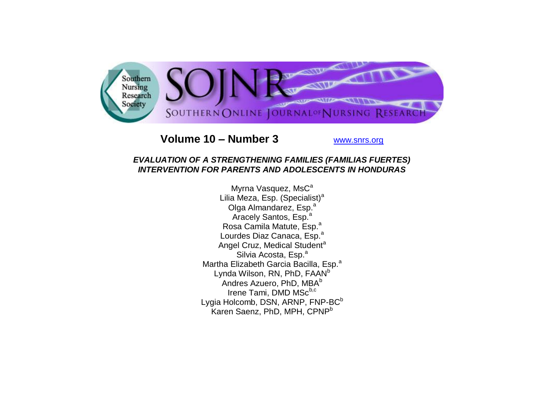

# **Volume 10 – Number 3** [www.snrs.org](http://www.snrs.org/)

## *EVALUATION OF A STRENGTHENING FAMILIES (FAMILIAS FUERTES) INTERVENTION FOR PARENTS AND ADOLESCENTS IN HONDURAS*

Myrna Vasquez, MsC<sup>a</sup> Lilia Meza, Esp. (Specialist)<sup>a</sup> Olga Almandarez, Esp.<sup>a</sup> Aracely Santos, Esp.<sup>a</sup> Rosa Camila Matute, Esp.<sup>a</sup> Lourdes Diaz Canaca, Esp.<sup>a</sup> Angel Cruz, Medical Student<sup>a</sup> Silvia Acosta, Esp.<sup>a</sup> Martha Elizabeth Garcia Bacilla, Esp.<sup>a</sup> Lynda Wilson, RN, PhD, FAAN<sup>b</sup> Andres Azuero, PhD, MBA<sup>b</sup> Irene Tami, DMD MSc<sup>b,c</sup> Lygia Holcomb, DSN, ARNP, FNP-BC<sup>b</sup> Karen Saenz, PhD, MPH, CPNP<sup>b</sup>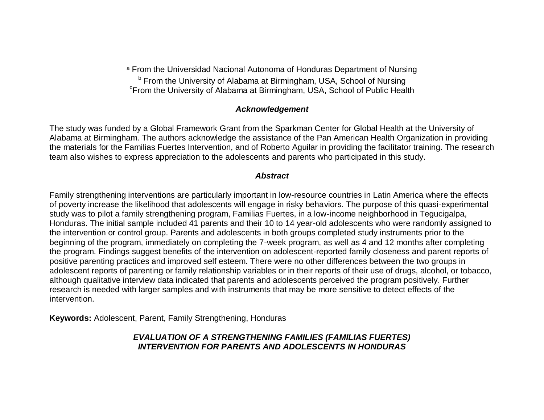<sup>a</sup> From the Universidad Nacional Autonoma of Honduras Department of Nursing **b From the University of Alabama at Birmingham, USA, School of Nursing** c From the University of Alabama at Birmingham, USA, School of Public Health

#### *Acknowledgement*

The study was funded by a Global Framework Grant from the Sparkman Center for Global Health at the University of Alabama at Birmingham. The authors acknowledge the assistance of the Pan American Health Organization in providing the materials for the Familias Fuertes Intervention, and of Roberto Aguilar in providing the facilitator training. The research team also wishes to express appreciation to the adolescents and parents who participated in this study.

### *Abstract*

Family strengthening interventions are particularly important in low-resource countries in Latin America where the effects of poverty increase the likelihood that adolescents will engage in risky behaviors. The purpose of this quasi-experimental study was to pilot a family strengthening program, Familias Fuertes, in a low-income neighborhood in Tegucigalpa, Honduras. The initial sample included 41 parents and their 10 to 14 year-old adolescents who were randomly assigned to the intervention or control group. Parents and adolescents in both groups completed study instruments prior to the beginning of the program, immediately on completing the 7-week program, as well as 4 and 12 months after completing the program. Findings suggest benefits of the intervention on adolescent-reported family closeness and parent reports of positive parenting practices and improved self esteem. There were no other differences between the two groups in adolescent reports of parenting or family relationship variables or in their reports of their use of drugs, alcohol, or tobacco, although qualitative interview data indicated that parents and adolescents perceived the program positively. Further research is needed with larger samples and with instruments that may be more sensitive to detect effects of the intervention.

**Keywords:** Adolescent, Parent, Family Strengthening, Honduras

# *EVALUATION OF A STRENGTHENING FAMILIES (FAMILIAS FUERTES) INTERVENTION FOR PARENTS AND ADOLESCENTS IN HONDURAS*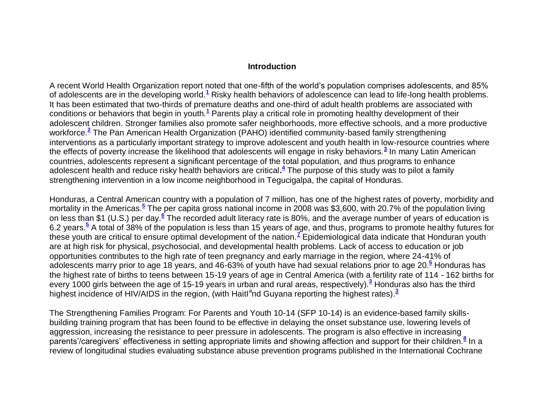#### **Introduction**

A recent World Health Organization report noted that one-fifth of the world"s population comprises adolescents, and 85% of adolescents are in the developing world[.](http://snrs.org/publications/SOJNR_articles2/n)**<sup>1</sup>** Risky health behaviors of adolescence can lead to life-long health problems. It has been estimated that two-thirds of premature deaths and one-third of adult health problems are associated with conditions or behaviors that begin in youth.**[1](http://snrs.org/publications/SOJNR_articles2/n)** Parents play a critical role in promoting healthy development of their adolescent children. Stronger families also promote safer neighborhoods, more effective schools, and a more productive workforce.**[2](http://snrs.org/publications/SOJNR_articles2/n)** The Pan American Health Organization (PAHO) identified community-based family strengthening interventions as a particularly important strategy to improve adolescent and youth health in low-resource countries where the effects of poverty increase the likelihood that adolescents will engage in risky behaviors.**[3](http://snrs.org/publications/SOJNR_articles2/n)** In many Latin American countries, adolescents represent a significant percentage of the total population, and thus programs to enhance adolescent health and reduce risky health behaviors are critical**[.](http://snrs.org/publications/SOJNR_articles2/n) 4** The purpose of this study was to pilot a family strengthening intervention in a low income neighborhood in Tegucigalpa, the capital of Honduras.

Honduras, a Central American country with a population of 7 million, has one of the highest rates of poverty, morbidity and mortality in the Americas[.](http://snrs.org/publications/SOJNR_articles2/n)<sup>5</sup> The per capita gross national income in 2008 was \$3,600, with 20.7% of the population living on less than \$1 (U[.](http://snrs.org/publications/SOJNR_articles2/n)S.) per day.<sup>6</sup> The recorded adult literacy rate is 80%, and the average number of years of education is 6.2 years[.](http://snrs.org/publications/SOJNR_articles2/n)**<sup>5</sup>** A total of 38% of the population is less than 15 years of age, and thus, programs to promote healthy futures for these youth are critical to ensure optimal development of the nation.**[7](http://snrs.org/publications/SOJNR_articles2/n)** Epidemiological data indicate that Honduran youth are at high risk for physical, psychosocial, and developmental health problems. Lack of access to education or job opportunities contributes to the high rate of teen pregnancy and early marriage in the region, where 24-41% of adolescents marry prior to age 18 years, and 46-63% of youth have had sexual relations prior to age 20.**[5](http://snrs.org/publications/SOJNR_articles2/n)** Honduras has the highest rate of births to teens between 15-19 years of age in Central America (with a fertility rate of 114 - 162 births for every 1000 girls between the age of 15-19 years in urban and rural areas, respectively).**[3](http://snrs.org/publications/SOJNR_articles2/n)** Honduras also has the third highest incidence of HIV/AIDS in the region, (with Haitl<sup>a</sup>nd Guyana reporting the highest rates).<sup>[3](http://snrs.org/publications/SOJNR_articles2/n)</sup>

The Strengthening Families Program: For Parents and Youth 10-14 (SFP 10-14) is an evidence-based family skillsbuilding training program that has been found to be effective in delaying the onset substance use, lowering levels of aggression, increasing the resistance to peer pressure in adolescents. The program is also effective in increasing parents'/caregivers' effectiveness in setting appropriate limits and showing affection and support for their children[.](http://snrs.org/publications/SOJNR_articles2/n)<sup>8</sup> In a review of longitudinal studies evaluating substance abuse prevention programs published in the International Cochrane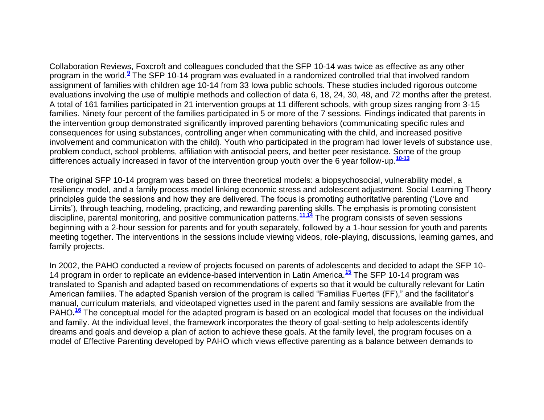Collaboration Reviews, Foxcroft and colleagues concluded that the SFP 10-14 was twice as effective as any other program in the world[.](http://snrs.org/publications/SOJNR_articles2/n)**<sup>9</sup>** The SFP 10-14 program was evaluated in a randomized controlled trial that involved random assignment of families with children age 10-14 from 33 Iowa public schools. These studies included rigorous outcome evaluations involving the use of multiple methods and collection of data 6, 18, 24, 30, 48, and 72 months after the pretest. A total of 161 families participated in 21 intervention groups at 11 different schools, with group sizes ranging from 3-15 families. Ninety four percent of the families participated in 5 or more of the 7 sessions. Findings indicated that parents in the intervention group demonstrated significantly improved parenting behaviors (communicating specific rules and consequences for using substances, controlling anger when communicating with the child, and increased positive involvement and communication with the child). Youth who participated in the program had lower levels of substance use, problem conduct, school problems, affiliation with antisocial peers, and better peer resistance. Some of the group differences actually increased in favor of the intervention group youth over the 6 year follow-up.**[10-13](http://snrs.org/publications/SOJNR_articles2/n)**

The original SFP 10-14 program was based on three theoretical models: a biopsychosocial, vulnerability model, a resiliency model, and a family process model linking economic stress and adolescent adjustment. Social Learning Theory principles guide the sessions and how they are delivered. The focus is promoting authoritative parenting ("Love and Limits'), through teaching, modeling, practicing, and rewarding parenting skills. The emphasis is promoting consistent discipline, parental monitoring, and positive communication patterns.**[11,14](http://snrs.org/publications/SOJNR_articles2/n)** The program consists of seven sessions beginning with a 2-hour session for parents and for youth separately, followed by a 1-hour session for youth and parents meeting together. The interventions in the sessions include viewing videos, role-playing, discussions, learning games, and family projects.

In 2002, the PAHO conducted a review of projects focused on parents of adolescents and decided to adapt the SFP 10- 14 program in order to replicate an evidence-based intervention in Latin America.**[15](http://snrs.org/publications/SOJNR_articles2/n)** The SFP 10-14 program was translated to Spanish and adapted based on recommendations of experts so that it would be culturally relevant for Latin American families. The adapted Spanish version of the program is called "Familias Fuertes (FF)," and the facilitator"s manual, curriculum materials, and videotaped vignettes used in the parent and family sessions are available from the PAHO.<sup>[16](http://snrs.org/publications/SOJNR_articles2/n)</sup> The conceptual model for the adapted program is based on an ecological model that focuses on the individual and family. At the individual level, the framework incorporates the theory of goal-setting to help adolescents identify dreams and goals and develop a plan of action to achieve these goals. At the family level, the program focuses on a model of Effective Parenting developed by PAHO which views effective parenting as a balance between demands to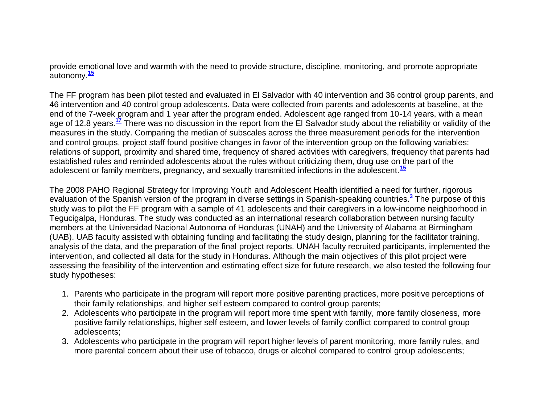provide emotional love and warmth with the need to provide structure, discipline, monitoring, and promote appropriate autonomy.**[15](http://snrs.org/publications/SOJNR_articles2/n)**

The FF program has been pilot tested and evaluated in El Salvador with 40 intervention and 36 control group parents, and 46 intervention and 40 control group adolescents. Data were collected from parents and adolescents at baseline, at the end of the 7-week program and 1 year after the program ended. Adolescent age ranged from 10-14 years, with a mean age of 12.8 years.**[17](http://snrs.org/publications/SOJNR_articles2/n)** There was no discussion in the report from the El Salvador study about the reliability or validity of the measures in the study. Comparing the median of subscales across the three measurement periods for the intervention and control groups, project staff found positive changes in favor of the intervention group on the following variables: relations of support, proximity and shared time, frequency of shared activities with caregivers, frequency that parents had established rules and reminded adolescents about the rules without criticizing them, drug use on the part of the adolescent or family members, pregnancy, and sexually transmitted infections in the adolescent.**[15](http://snrs.org/publications/SOJNR_articles2/n)**

The 2008 PAHO Regional Strategy for Improving Youth and Adolescent Health identified a need for further, rigorous evaluation of the Spanish version of the program in diverse settings in Spanish-speaking countries.**[3](http://snrs.org/publications/SOJNR_articles2/n)** The purpose of this study was to pilot the FF program with a sample of 41 adolescents and their caregivers in a low-income neighborhood in Tegucigalpa, Honduras. The study was conducted as an international research collaboration between nursing faculty members at the Universidad Nacional Autonoma of Honduras (UNAH) and the University of Alabama at Birmingham (UAB). UAB faculty assisted with obtaining funding and facilitating the study design, planning for the facilitator training, analysis of the data, and the preparation of the final project reports. UNAH faculty recruited participants, implemented the intervention, and collected all data for the study in Honduras. Although the main objectives of this pilot project were assessing the feasibility of the intervention and estimating effect size for future research, we also tested the following four study hypotheses:

- 1. Parents who participate in the program will report more positive parenting practices, more positive perceptions of their family relationships, and higher self esteem compared to control group parents;
- 2. Adolescents who participate in the program will report more time spent with family, more family closeness, more positive family relationships, higher self esteem, and lower levels of family conflict compared to control group adolescents;
- 3. Adolescents who participate in the program will report higher levels of parent monitoring, more family rules, and more parental concern about their use of tobacco, drugs or alcohol compared to control group adolescents;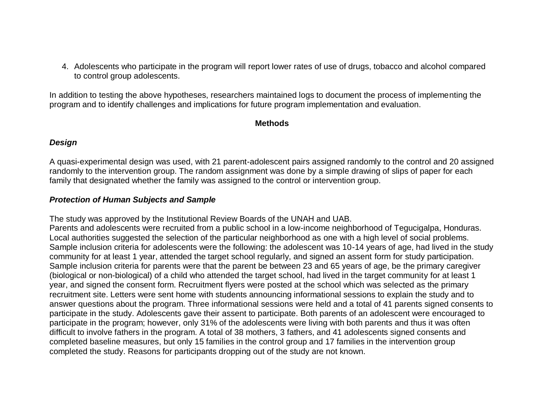4. Adolescents who participate in the program will report lower rates of use of drugs, tobacco and alcohol compared to control group adolescents.

In addition to testing the above hypotheses, researchers maintained logs to document the process of implementing the program and to identify challenges and implications for future program implementation and evaluation.

#### **Methods**

#### *Design*

A quasi-experimental design was used, with 21 parent-adolescent pairs assigned randomly to the control and 20 assigned randomly to the intervention group. The random assignment was done by a simple drawing of slips of paper for each family that designated whether the family was assigned to the control or intervention group.

#### *Protection of Human Subjects and Sample*

The study was approved by the Institutional Review Boards of the UNAH and UAB.

Parents and adolescents were recruited from a public school in a low-income neighborhood of Tegucigalpa, Honduras. Local authorities suggested the selection of the particular neighborhood as one with a high level of social problems. Sample inclusion criteria for adolescents were the following: the adolescent was 10-14 years of age, had lived in the study community for at least 1 year, attended the target school regularly, and signed an assent form for study participation. Sample inclusion criteria for parents were that the parent be between 23 and 65 years of age, be the primary caregiver (biological or non-biological) of a child who attended the target school, had lived in the target community for at least 1 year, and signed the consent form. Recruitment flyers were posted at the school which was selected as the primary recruitment site. Letters were sent home with students announcing informational sessions to explain the study and to answer questions about the program. Three informational sessions were held and a total of 41 parents signed consents to participate in the study. Adolescents gave their assent to participate. Both parents of an adolescent were encouraged to participate in the program; however, only 31% of the adolescents were living with both parents and thus it was often difficult to involve fathers in the program. A total of 38 mothers, 3 fathers, and 41 adolescents signed consents and completed baseline measures, but only 15 families in the control group and 17 families in the intervention group completed the study. Reasons for participants dropping out of the study are not known.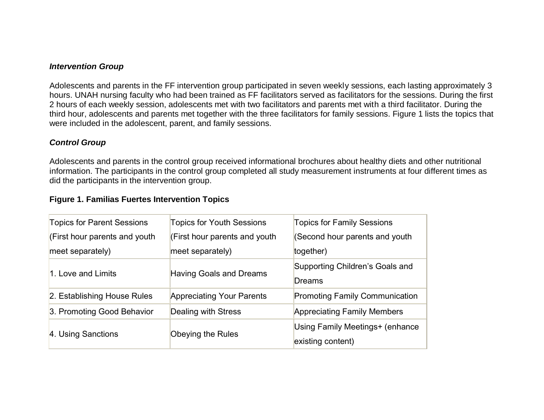#### *Intervention Group*

Adolescents and parents in the FF intervention group participated in seven weekly sessions, each lasting approximately 3 hours. UNAH nursing faculty who had been trained as FF facilitators served as facilitators for the sessions. During the first 2 hours of each weekly session, adolescents met with two facilitators and parents met with a third facilitator. During the third hour, adolescents and parents met together with the three facilitators for family sessions. Figure 1 lists the topics that were included in the adolescent, parent, and family sessions.

## *Control Group*

Adolescents and parents in the control group received informational brochures about healthy diets and other nutritional information. The participants in the control group completed all study measurement instruments at four different times as did the participants in the intervention group.

#### **Figure 1. Familias Fuertes Intervention Topics**

| <b>Topics for Parent Sessions</b> | <b>Topics for Youth Sessions</b> | <b>Topics for Family Sessions</b>      |
|-----------------------------------|----------------------------------|----------------------------------------|
| (First hour parents and youth     | (First hour parents and youth    | (Second hour parents and youth         |
| meet separately)                  | meet separately)                 | together)                              |
| 1. Love and Limits                |                                  | Supporting Children's Goals and        |
|                                   | Having Goals and Dreams          | Dreams                                 |
| 2. Establishing House Rules       | <b>Appreciating Your Parents</b> | <b>Promoting Family Communication</b>  |
| 3. Promoting Good Behavior        | Dealing with Stress              | <b>Appreciating Family Members</b>     |
| 4. Using Sanctions                |                                  | <b>Using Family Meetings+ (enhance</b> |
|                                   | Obeying the Rules                | existing content)                      |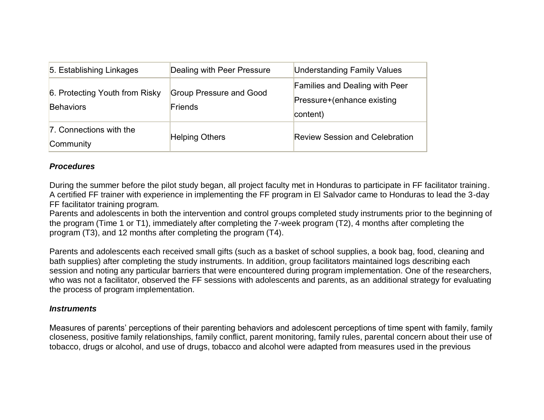| 5. Establishing Linkages                           | Dealing with Peer Pressure                | <b>Understanding Family Values</b>                                              |
|----------------------------------------------------|-------------------------------------------|---------------------------------------------------------------------------------|
| 6. Protecting Youth from Risky<br><b>Behaviors</b> | <b>Group Pressure and Good</b><br>Friends | <b>Families and Dealing with Peer</b><br>Pressure+(enhance existing<br>content) |
| 7. Connections with the<br>Community               | <b>Helping Others</b>                     | <b>Review Session and Celebration</b>                                           |

### *Procedures*

During the summer before the pilot study began, all project faculty met in Honduras to participate in FF facilitator training. A certified FF trainer with experience in implementing the FF program in El Salvador came to Honduras to lead the 3-day FF facilitator training program.

Parents and adolescents in both the intervention and control groups completed study instruments prior to the beginning of the program (Time 1 or T1), immediately after completing the 7-week program (T2), 4 months after completing the program (T3), and 12 months after completing the program (T4).

Parents and adolescents each received small gifts (such as a basket of school supplies, a book bag, food, cleaning and bath supplies) after completing the study instruments. In addition, group facilitators maintained logs describing each session and noting any particular barriers that were encountered during program implementation. One of the researchers, who was not a facilitator, observed the FF sessions with adolescents and parents, as an additional strategy for evaluating the process of program implementation.

#### *Instruments*

Measures of parents" perceptions of their parenting behaviors and adolescent perceptions of time spent with family, family closeness, positive family relationships, family conflict, parent monitoring, family rules, parental concern about their use of tobacco, drugs or alcohol, and use of drugs, tobacco and alcohol were adapted from measures used in the previous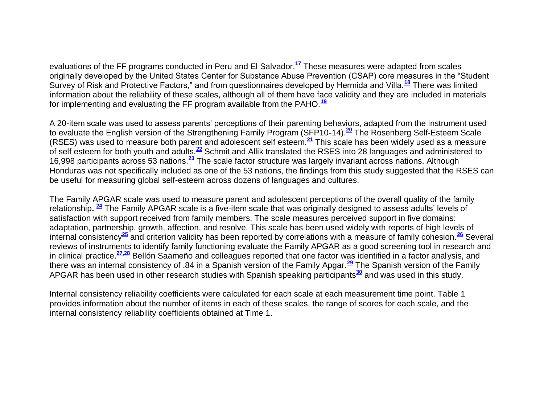evaluations of the FF programs conducted in Peru and El Salvador.**[17](http://snrs.org/publications/SOJNR_articles2/n)** These measures were adapted from scales originally developed by the United States Center for Substance Abuse Prevention (CSAP) core measures in the "Student Survey of Risk and Protective Factors," and from questionnaires developed by Hermida and Villa.**[18](http://snrs.org/publications/SOJNR_articles2/n)** There was limited information about the reliability of these scales, although all of them have face validity and they are included in materials for implementing and evaluating the FF program available from the PAHO.**[19](http://snrs.org/publications/SOJNR_articles2/n)**

A 20-item scale was used to assess parents" perceptions of their parenting behaviors, adapted from the instrument used to evaluate the English version of the Strengthening Family Program (SFP10-14).**[20](http://snrs.org/publications/SOJNR_articles2/n)** The Rosenberg Self-Esteem Scale (RSES) was used to measure both parent and adolescent self esteem.**[21](http://snrs.org/publications/SOJNR_articles2/n)** This scale has been widely used as a measure of self esteem for both youth and adults.**[22](http://snrs.org/publications/SOJNR_articles2/n)** Schmit and Allik translated the RSES into 28 languages and administered to 16,998 participants across 53 nations.**[23](http://snrs.org/publications/SOJNR_articles2/n)** The scale factor structure was largely invariant across nations. Although Honduras was not specifically included as one of the 53 nations, the findings from this study suggested that the RSES can be useful for measuring global self-esteem across dozens of languages and cultures.

The Family APGAR scale was used to measure parent and adolescent perceptions of the overall quality of the family relationship**. [24](http://snrs.org/publications/SOJNR_articles2/n)** The Family APGAR scale is a five-item scale that was originally designed to assess adults" levels of satisfaction with support received from family members. The scale measures perceived support in five domains: adaptation, partnership, growth, affection, and resolve. This scale has been used widely with reports of high levels of internal consistency**[25](http://snrs.org/publications/SOJNR_articles2/n)** and criterion validity has been reported by correlations with a measure of family cohesion.**[26](http://snrs.org/publications/SOJNR_articles2/n)** Several reviews of instruments to identify family functioning evaluate the Family APGAR as a good screening tool in research and in clinical practice.**[27,28](http://snrs.org/publications/SOJNR_articles2/n)** Bellón Saameño and colleagues reported that one factor was identified in a factor analysis, and there was an internal consistency of .84 in a Spanish version of the Family Apgar.**[29](http://snrs.org/publications/SOJNR_articles2/n)** The Spanish version of the Family APGAR has been used in other research studies with Spanish speaking participants**[30](http://snrs.org/publications/SOJNR_articles2/n)** and was used in this study.

Internal consistency reliability coefficients were calculated for each scale at each measurement time point. Table 1 provides information about the number of items in each of these scales, the range of scores for each scale, and the internal consistency reliability coefficients obtained at Time 1.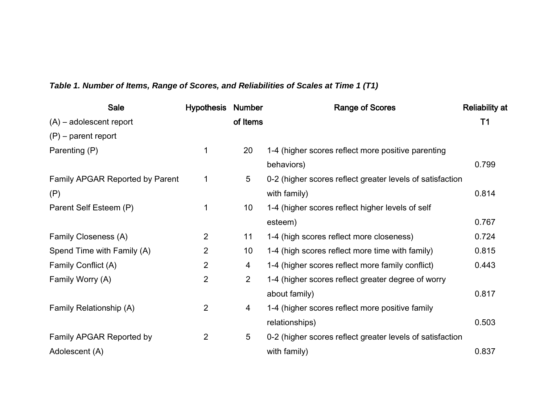# *Table 1. Number of Items, Range of Scores, and Reliabilities of Scales at Time 1 (T1)*

| Sale                            | <b>Hypothesis Number</b> |                 | <b>Range of Scores</b>                                    | <b>Reliability at</b> |
|---------------------------------|--------------------------|-----------------|-----------------------------------------------------------|-----------------------|
| $(A)$ – adolescent report       |                          | of Items        |                                                           | T <sub>1</sub>        |
| $(P)$ – parent report           |                          |                 |                                                           |                       |
| Parenting (P)                   | 1                        | 20              | 1-4 (higher scores reflect more positive parenting        |                       |
|                                 |                          |                 | behaviors)                                                | 0.799                 |
| Family APGAR Reported by Parent | 1                        | 5               | 0-2 (higher scores reflect greater levels of satisfaction |                       |
| (P)                             |                          |                 | with family)                                              | 0.814                 |
| Parent Self Esteem (P)          |                          | 10 <sub>1</sub> | 1-4 (higher scores reflect higher levels of self          |                       |
|                                 |                          |                 | esteem)                                                   | 0.767                 |
| Family Closeness (A)            | $\overline{2}$           | 11              | 1-4 (high scores reflect more closeness)                  | 0.724                 |
| Spend Time with Family (A)      | $\overline{2}$           | 10 <sub>1</sub> | 1-4 (high scores reflect more time with family)           | 0.815                 |
| Family Conflict (A)             | $\overline{2}$           | $\overline{4}$  | 1-4 (higher scores reflect more family conflict)          | 0.443                 |
| Family Worry (A)                | $\overline{2}$           | $\overline{2}$  | 1-4 (higher scores reflect greater degree of worry        |                       |
|                                 |                          |                 | about family)                                             | 0.817                 |
| Family Relationship (A)         | $\overline{2}$           | 4               | 1-4 (higher scores reflect more positive family           |                       |
|                                 |                          |                 | relationships)                                            | 0.503                 |
| Family APGAR Reported by        | $\overline{2}$           | 5               | 0-2 (higher scores reflect greater levels of satisfaction |                       |
| Adolescent (A)                  |                          |                 | with family)                                              | 0.837                 |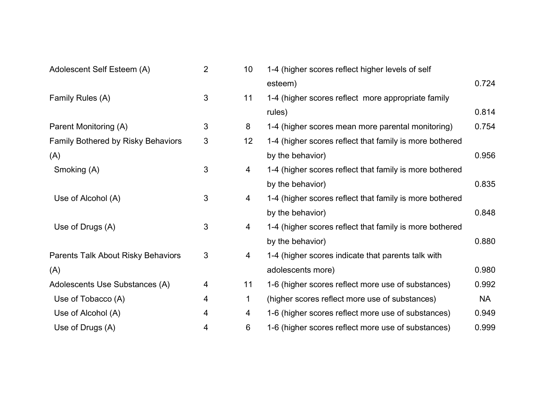| Adolescent Self Esteem (A)                | $\overline{2}$ | 10 | 1-4 (higher scores reflect higher levels of self        |       |
|-------------------------------------------|----------------|----|---------------------------------------------------------|-------|
|                                           |                |    | esteem)                                                 | 0.724 |
| Family Rules (A)                          | 3              | 11 | 1-4 (higher scores reflect more appropriate family      |       |
|                                           |                |    | rules)                                                  | 0.814 |
| Parent Monitoring (A)                     | 3              | 8  | 1-4 (higher scores mean more parental monitoring)       | 0.754 |
| <b>Family Bothered by Risky Behaviors</b> | $\mathfrak{S}$ | 12 | 1-4 (higher scores reflect that family is more bothered |       |
| (A)                                       |                |    | by the behavior)                                        | 0.956 |
| Smoking (A)                               | 3              | 4  | 1-4 (higher scores reflect that family is more bothered |       |
|                                           |                |    | by the behavior)                                        | 0.835 |
| Use of Alcohol (A)                        | 3              | 4  | 1-4 (higher scores reflect that family is more bothered |       |
|                                           |                |    | by the behavior)                                        | 0.848 |
| Use of Drugs (A)                          | 3              | 4  | 1-4 (higher scores reflect that family is more bothered |       |
|                                           |                |    | by the behavior)                                        | 0.880 |
| Parents Talk About Risky Behaviors        | 3              | 4  | 1-4 (higher scores indicate that parents talk with      |       |
| (A)                                       |                |    | adolescents more)                                       | 0.980 |
| Adolescents Use Substances (A)            | 4              | 11 | 1-6 (higher scores reflect more use of substances)      | 0.992 |
| Use of Tobacco (A)                        | 4              | 1  | (higher scores reflect more use of substances)          | NA    |
| Use of Alcohol (A)                        | 4              | 4  | 1-6 (higher scores reflect more use of substances)      | 0.949 |
| Use of Drugs (A)                          | 4              | 6  | 1-6 (higher scores reflect more use of substances)      | 0.999 |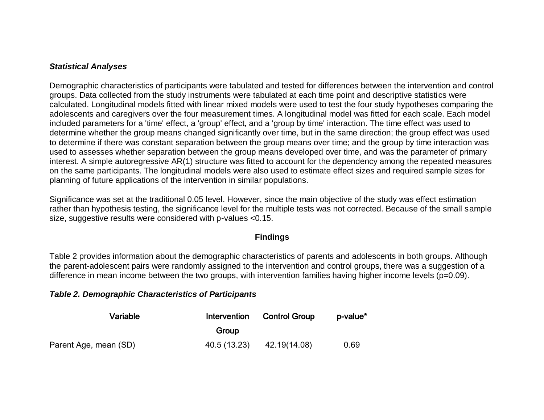#### *Statistical Analyses*

Demographic characteristics of participants were tabulated and tested for differences between the intervention and control groups. Data collected from the study instruments were tabulated at each time point and descriptive statistics were calculated. Longitudinal models fitted with linear mixed models were used to test the four study hypotheses comparing the adolescents and caregivers over the four measurement times. A longitudinal model was fitted for each scale. Each model included parameters for a 'time' effect, a 'group' effect, and a 'group by time' interaction. The time effect was used to determine whether the group means changed significantly over time, but in the same direction; the group effect was used to determine if there was constant separation between the group means over time; and the group by time interaction was used to assesses whether separation between the group means developed over time, and was the parameter of primary interest. A simple autoregressive AR(1) structure was fitted to account for the dependency among the repeated measures on the same participants. The longitudinal models were also used to estimate effect sizes and required sample sizes for planning of future applications of the intervention in similar populations.

Significance was set at the traditional 0.05 level. However, since the main objective of the study was effect estimation rather than hypothesis testing, the significance level for the multiple tests was not corrected. Because of the small sample size, suggestive results were considered with p-values <0.15.

# **Findings**

Table 2 provides information about the demographic characteristics of parents and adolescents in both groups. Although the parent-adolescent pairs were randomly assigned to the intervention and control groups, there was a suggestion of a difference in mean income between the two groups, with intervention families having higher income levels (p=0.09).

#### *Table 2. Demographic Characteristics of Participants*

| Variable              | Intervention | <b>Control Group</b> | p-value* |
|-----------------------|--------------|----------------------|----------|
|                       | Group        |                      |          |
| Parent Age, mean (SD) | 40.5 (13.23) | 42.19(14.08)         | 0.69     |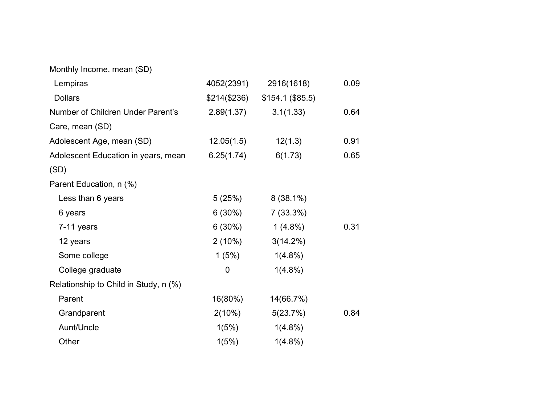| Monthly Income, mean (SD)             |               |                  |      |
|---------------------------------------|---------------|------------------|------|
| Lempiras                              | 4052(2391)    | 2916(1618)       | 0.09 |
| <b>Dollars</b>                        | \$214 (\$236) | \$154.1 (\$85.5) |      |
| Number of Children Under Parent's     | 2.89(1.37)    | 3.1(1.33)        | 0.64 |
| Care, mean (SD)                       |               |                  |      |
| Adolescent Age, mean (SD)             | 12.05(1.5)    | 12(1.3)          | 0.91 |
| Adolescent Education in years, mean   | 6.25(1.74)    | 6(1.73)          | 0.65 |
| (SD)                                  |               |                  |      |
| Parent Education, n (%)               |               |                  |      |
| Less than 6 years                     | 5(25%)        | $8(38.1\%)$      |      |
| 6 years                               | $6(30\%)$     | $7(33.3\%)$      |      |
| 7-11 years                            | $6(30\%)$     | $1(4.8\%)$       | 0.31 |
| 12 years                              | $2(10\%)$     | $3(14.2\%)$      |      |
| Some college                          | 1(5%)         | $1(4.8\%)$       |      |
| College graduate                      | 0             | $1(4.8\%)$       |      |
| Relationship to Child in Study, n (%) |               |                  |      |
| Parent                                | 16(80%)       | 14(66.7%)        |      |
| Grandparent                           | $2(10\%)$     | 5(23.7%)         | 0.84 |
| Aunt/Uncle                            | 1(5%)         | $1(4.8\%)$       |      |
| Other                                 | 1(5%)         | $1(4.8\%)$       |      |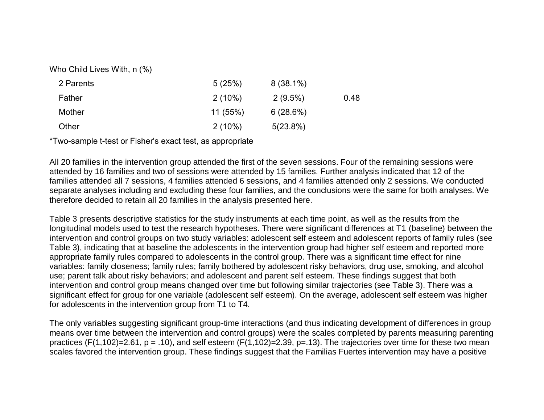Who Child Lives With, n (%)

| 2 Parents | 5(25%)    | $8(38.1\%)$ |      |
|-----------|-----------|-------------|------|
| Father    | $2(10\%)$ | $2(9.5\%)$  | 0.48 |
| Mother    | 11 (55%)  | 6(28.6%)    |      |
| Other     | $2(10\%)$ | 5(23.8%)    |      |

\*Two-sample t-test or Fisher's exact test, as appropriate

All 20 families in the intervention group attended the first of the seven sessions. Four of the remaining sessions were attended by 16 families and two of sessions were attended by 15 families. Further analysis indicated that 12 of the families attended all 7 sessions, 4 families attended 6 sessions, and 4 families attended only 2 sessions. We conducted separate analyses including and excluding these four families, and the conclusions were the same for both analyses. We therefore decided to retain all 20 families in the analysis presented here.

Table 3 presents descriptive statistics for the study instruments at each time point, as well as the results from the longitudinal models used to test the research hypotheses. There were significant differences at T1 (baseline) between the intervention and control groups on two study variables: adolescent self esteem and adolescent reports of family rules (see Table 3), indicating that at baseline the adolescents in the intervention group had higher self esteem and reported more appropriate family rules compared to adolescents in the control group. There was a significant time effect for nine variables: family closeness; family rules; family bothered by adolescent risky behaviors, drug use, smoking, and alcohol use; parent talk about risky behaviors; and adolescent and parent self esteem. These findings suggest that both intervention and control group means changed over time but following similar trajectories (see Table 3). There was a significant effect for group for one variable (adolescent self esteem). On the average, adolescent self esteem was higher for adolescents in the intervention group from T1 to T4.

The only variables suggesting significant group-time interactions (and thus indicating development of differences in group means over time between the intervention and control groups) were the scales completed by parents measuring parenting practices (F(1,102)=2.61, p = .10), and self esteem (F(1,102)=2.39, p=.13). The trajectories over time for these two mean scales favored the intervention group. These findings suggest that the Familias Fuertes intervention may have a positive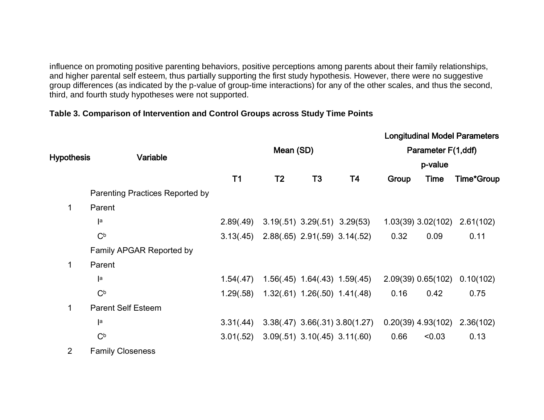influence on promoting positive parenting behaviors, positive perceptions among parents about their family relationships, and higher parental self esteem, thus partially supporting the first study hypothesis. However, there were no suggestive group differences (as indicated by the p-value of group-time interactions) for any of the other scales, and thus the second, third, and fourth study hypotheses were not supported.

# **Table 3. Comparison of Intervention and Control Groups across Study Time Points**

|                   |                                        |                |                |                                     |                                      |       |                        | <b>Longitudinal Model Parameters</b> |
|-------------------|----------------------------------------|----------------|----------------|-------------------------------------|--------------------------------------|-------|------------------------|--------------------------------------|
| <b>Hypothesis</b> | Variable                               |                | Mean (SD)      |                                     |                                      |       | Parameter F(1,ddf)     |                                      |
|                   |                                        |                |                |                                     |                                      |       | p-value                |                                      |
|                   |                                        | T <sub>1</sub> | T <sub>2</sub> | T <sub>3</sub>                      | T4                                   | Group | Time                   | Time*Group                           |
|                   | <b>Parenting Practices Reported by</b> |                |                |                                     |                                      |       |                        |                                      |
| 1                 | Parent                                 |                |                |                                     |                                      |       |                        |                                      |
|                   | a                                      | 2.89(.49)      |                | $3.19(.51)$ $3.29(.51)$ $3.29(53)$  |                                      |       | $1.03(39)$ $3.02(102)$ | 2.61(102)                            |
|                   | C <sub>p</sub>                         | 3.13(.45)      |                | $2.88(.65)$ $2.91(.59)$ $3.14(.52)$ |                                      | 0.32  | 0.09                   | 0.11                                 |
|                   | Family APGAR Reported by               |                |                |                                     |                                      |       |                        |                                      |
| $\mathbf{1}$      | Parent                                 |                |                |                                     |                                      |       |                        |                                      |
|                   | a                                      | 1.54(.47)      |                |                                     | $1.56(.45)$ $1.64(.43)$ $1.59(.45)$  |       | $2.09(39)$ 0.65(102)   | 0.10(102)                            |
|                   | C <sub>p</sub>                         | 1.29(.58)      |                | $1.32(.61)$ $1.26(.50)$ $1.41(.48)$ |                                      | 0.16  | 0.42                   | 0.75                                 |
| 1                 | <b>Parent Self Esteem</b>              |                |                |                                     |                                      |       |                        |                                      |
|                   | a                                      | 3.31(.44)      |                |                                     | $3.38(.47)$ $3.66(.31)$ $3.80(1.27)$ |       | $0.20(39)$ 4.93(102)   | 2.36(102)                            |
|                   | C <sub>p</sub>                         | 3.01(.52)      |                |                                     | $3.09(.51)$ $3.10(.45)$ $3.11(.60)$  | 0.66  | < 0.03                 | 0.13                                 |
| $\overline{2}$    | <b>Family Closeness</b>                |                |                |                                     |                                      |       |                        |                                      |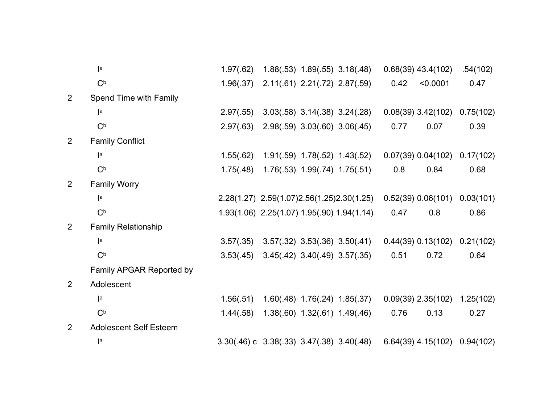|                | a                             | 1.97(.62)                                         |                                            | $1.88(.53)$ $1.89(.55)$ $3.18(.48)$ |                                             |      | $0.68(39)$ 43.4(102)   | .54(102)  |
|----------------|-------------------------------|---------------------------------------------------|--------------------------------------------|-------------------------------------|---------------------------------------------|------|------------------------|-----------|
|                | C <sub>p</sub>                | 1.96(.37)                                         |                                            | $2.11(.61)$ $2.21(.72)$ $2.87(.59)$ |                                             | 0.42 | < 0.0001               | 0.47      |
| $\overline{2}$ | Spend Time with Family        |                                                   |                                            |                                     |                                             |      |                        |           |
|                | a                             | 2.97(.55)                                         |                                            | $3.03(.58)$ $3.14(.38)$ $3.24(.28)$ |                                             |      | $0.08(39)$ 3.42(102)   | 0.75(102) |
|                | C <sub>p</sub>                | 2.97(.63)                                         |                                            | 2.98(.59) 3.03(.60) 3.06(.45)       |                                             | 0.77 | 0.07                   | 0.39      |
| $\overline{2}$ | <b>Family Conflict</b>        |                                                   |                                            |                                     |                                             |      |                        |           |
|                | a                             | 1.55(.62)                                         |                                            | 1.91(.59) 1.78(.52) 1.43(.52)       |                                             |      | 0.07(39) 0.04(102)     | 0.17(102) |
|                | C <sub>p</sub>                | 1.75(.48)                                         |                                            | 1.76(.53) 1.99(.74) 1.75(.51)       |                                             | 0.8  | 0.84                   | 0.68      |
| 2              | <b>Family Worry</b>           |                                                   |                                            |                                     |                                             |      |                        |           |
|                | a                             |                                                   |                                            |                                     | 2.28(1.27) 2.59(1.07) 2.56(1.25) 2.30(1.25) |      | 0.52(39) 0.06(101)     | 0.03(101) |
|                | C <sub>p</sub>                |                                                   | 1.93(1.06) 2.25(1.07) 1.95(.90) 1.94(1.14) |                                     |                                             | 0.47 | 0.8                    | 0.86      |
| $\overline{2}$ | <b>Family Relationship</b>    |                                                   |                                            |                                     |                                             |      |                        |           |
|                | a                             | 3.57(.35)                                         |                                            |                                     | $3.57(.32)$ $3.53(.36)$ $3.50(.41)$         |      | $0.44(39)$ $0.13(102)$ | 0.21(102) |
|                | C <sub>p</sub>                | 3.53(.45)                                         |                                            | 3.45(.42) 3.40(.49) 3.57(.35)       |                                             | 0.51 | 0.72                   | 0.64      |
|                | Family APGAR Reported by      |                                                   |                                            |                                     |                                             |      |                        |           |
| 2              | Adolescent                    |                                                   |                                            |                                     |                                             |      |                        |           |
|                | a                             | 1.56(.51)                                         |                                            |                                     | $1.60(.48)$ $1.76(.24)$ $1.85(.37)$         |      | $0.09(39)$ 2.35(102)   | 1.25(102) |
|                | C <sub>p</sub>                | 1.44(.58)                                         |                                            | $1.38(.60)$ $1.32(.61)$ $1.49(.46)$ |                                             | 0.76 | 0.13                   | 0.27      |
| $\overline{2}$ | <b>Adolescent Self Esteem</b> |                                                   |                                            |                                     |                                             |      |                        |           |
|                | a                             | $3.30(.46)$ c $3.38(.33)$ $3.47(.38)$ $3.40(.48)$ |                                            |                                     |                                             |      | $6.64(39)$ 4.15(102)   | 0.94(102) |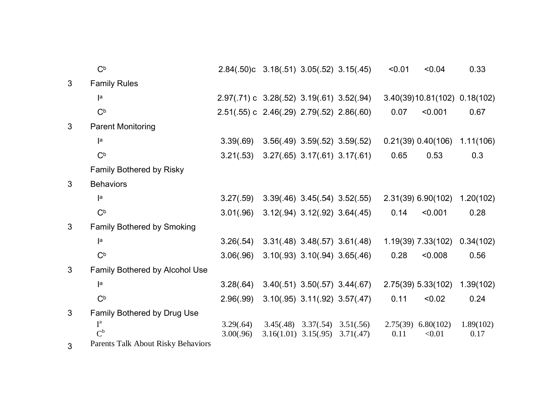|              | C <sub>b</sub>                     | 2.84(.50)c 3.18(.51) 3.05(.52) 3.15(.45)  |           |                                       |                                     | < 0.01           | < 0.04                       | 0.33              |
|--------------|------------------------------------|-------------------------------------------|-----------|---------------------------------------|-------------------------------------|------------------|------------------------------|-------------------|
| 3            | <b>Family Rules</b>                |                                           |           |                                       |                                     |                  |                              |                   |
|              | a                                  | 2.97(.71) c 3.28(.52) 3.19(.61) 3.52(.94) |           |                                       |                                     |                  | 3.40(39)10.81(102) 0.18(102) |                   |
|              | C <sub>p</sub>                     | 2.51(.55) c 2.46(.29) 2.79(.52) 2.86(.60) |           |                                       |                                     | 0.07             | < 0.001                      | 0.67              |
| 3            | <b>Parent Monitoring</b>           |                                           |           |                                       |                                     |                  |                              |                   |
|              | a                                  | 3.39(.69)                                 |           | 3.56(.49) 3.59(.52) 3.59(.52)         |                                     |                  | $0.21(39)$ $0.40(106)$       | 1.11(106)         |
|              | C <sub>b</sub>                     | 3.21(.53)                                 |           | $3.27(.65)$ $3.17(.61)$ $3.17(.61)$   |                                     | 0.65             | 0.53                         | 0.3               |
|              | <b>Family Bothered by Risky</b>    |                                           |           |                                       |                                     |                  |                              |                   |
| 3            | <b>Behaviors</b>                   |                                           |           |                                       |                                     |                  |                              |                   |
|              | a                                  | 3.27(.59)                                 |           | $3.39(.46)$ $3.45(.54)$ $3.52(.55)$   |                                     |                  | $2.31(39)$ 6.90(102)         | 1.20(102)         |
|              | C <sub>b</sub>                     | 3.01(.96)                                 |           | $3.12(.94)$ $3.12(.92)$ $3.64(.45)$   |                                     | 0.14             | < 0.001                      | 0.28              |
| 3            | <b>Family Bothered by Smoking</b>  |                                           |           |                                       |                                     |                  |                              |                   |
|              | a                                  | 3.26(.54)                                 |           | $3.31(.48)$ $3.48(.57)$ $3.61(.48)$   |                                     |                  | 1.19(39) 7.33(102)           | 0.34(102)         |
|              | C <sub>p</sub>                     | 3.06(.96)                                 |           | $3.10(.93)$ $3.10(.94)$ $3.65(.46)$   |                                     | 0.28             | < 0.008                      | 0.56              |
| $\mathbf{3}$ | Family Bothered by Alcohol Use     |                                           |           |                                       |                                     |                  |                              |                   |
|              | a                                  | 3.28(.64)                                 |           |                                       | $3.40(.51)$ $3.50(.57)$ $3.44(.67)$ |                  | 2.75(39) 5.33(102)           | 1.39(102)         |
|              | C <sub>p</sub>                     | 2.96(.99)                                 |           | $3.10(.95)$ $3.11(.92)$ $3.57(.47)$   |                                     | 0.11             | < 0.02                       | 0.24              |
| 3            | Family Bothered by Drug Use        |                                           |           |                                       |                                     |                  |                              |                   |
|              | $I^a$<br>$C^{\rm b}$               | 3.29(.64)<br>3.00(.96)                    | 3.45(.48) | 3.37(.54)<br>$3.16(1.01)$ $3.15(.95)$ | 3.51(.56)<br>3.71(.47)              | 2.75(39)<br>0.11 | 6.80(102)<br>< 0.01          | 1.89(102)<br>0.17 |
| 3            | Parents Talk About Risky Behaviors |                                           |           |                                       |                                     |                  |                              |                   |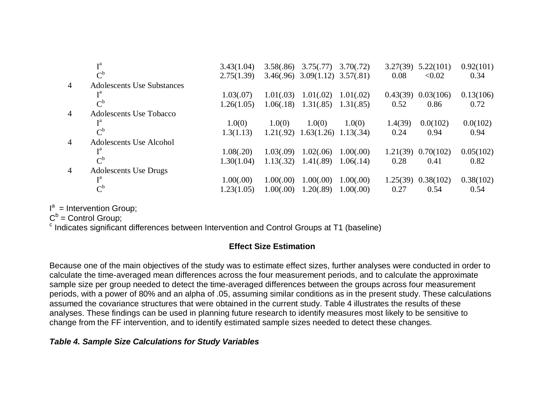|                | та                                | 3.43(1.04) | 3.58(.86) | 3.75(.77)                            | 3.70(.72) | 3.27(39) | 5.22(101) | 0.92(101) |
|----------------|-----------------------------------|------------|-----------|--------------------------------------|-----------|----------|-----------|-----------|
|                | $\mathrm{C}^\mathrm{b}$           | 2.75(1.39) |           | $3.46(.96)$ $3.09(1.12)$ $3.57(.81)$ |           | 0.08     | < 0.02    | 0.34      |
| $\overline{4}$ | <b>Adolescents Use Substances</b> |            |           |                                      |           |          |           |           |
|                |                                   | 1.03(.07)  | 1.01(.03) | 1.01(.02)                            | 1.01(.02) | 0.43(39) | 0.03(106) | 0.13(106) |
|                | $\mathrm{C}^{\mathrm{b}}$         | 1.26(1.05) | 1.06(.18) | 1.31(.85)                            | 1.31(.85) | 0.52     | 0.86      | 0.72      |
| $\overline{4}$ | Adolescents Use Tobacco           |            |           |                                      |           |          |           |           |
|                | та                                | 1.0(0)     | 1.0(0)    | 1.0(0)                               | 1.0(0)    | 1.4(39)  | 0.0(102)  | 0.0(102)  |
|                | $\mathrm{C}^{\mathrm{b}}$         | 1.3(1.13)  | 1.21(.92) | 1.63(1.26)                           | 1.13(.34) | 0.24     | 0.94      | 0.94      |
| $\overline{4}$ | Adolescents Use Alcohol           |            |           |                                      |           |          |           |           |
|                | та                                | 1.08(.20)  | 1.03(.09) | 1.02(.06)                            | 1.00(.00) | 1.21(39) | 0.70(102) | 0.05(102) |
|                | $\mathrm{C}^{\mathrm{b}}$         | 1.30(1.04) | 1.13(.32) | 1.41(.89)                            | 1.06(.14) | 0.28     | 0.41      | 0.82      |
| $\overline{4}$ | <b>Adolescents Use Drugs</b>      |            |           |                                      |           |          |           |           |
|                | та                                | 1.00(.00)  | 1.00(.00) | 1.00(.00)                            | 1.00(.00) | 1.25(39) | 0.38(102) | 0.38(102) |
|                | $\mathrm{C}^{\mathrm{b}}$         | 1.23(1.05) | 1.00(.00) | 1.20(.89)                            | 1.00(.00) | 0.27     | 0.54      | 0.54      |

 $I^a$  = Intervention Group;

 $C<sup>b</sup>$  = Control Group;

<sup>c</sup> Indicates significant differences between Intervention and Control Groups at T1 (baseline)

# **Effect Size Estimation**

Because one of the main objectives of the study was to estimate effect sizes, further analyses were conducted in order to calculate the time-averaged mean differences across the four measurement periods, and to calculate the approximate sample size per group needed to detect the time-averaged differences between the groups across four measurement periods, with a power of 80% and an alpha of .05, assuming similar conditions as in the present study. These calculations assumed the covariance structures that were obtained in the current study. Table 4 illustrates the results of these analyses. These findings can be used in planning future research to identify measures most likely to be sensitive to change from the FF intervention, and to identify estimated sample sizes needed to detect these changes.

#### *Table 4. Sample Size Calculations for Study Variables*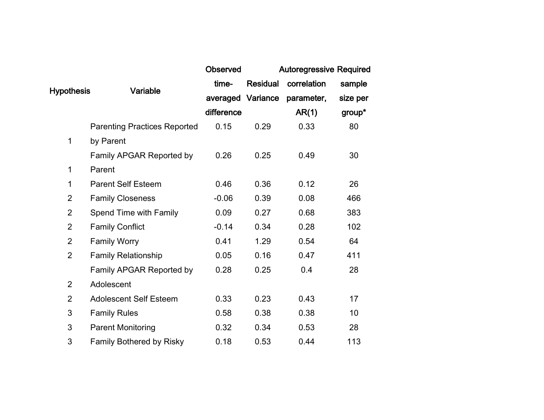|                   |                                     | <b>Observed</b> |                   | <b>Autoregressive Required</b> |          |
|-------------------|-------------------------------------|-----------------|-------------------|--------------------------------|----------|
|                   | Variable                            | time-           | <b>Residual</b>   | correlation                    | sample   |
| <b>Hypothesis</b> |                                     |                 | averaged Variance | parameter,                     | size per |
|                   |                                     | difference      |                   | AR(1)                          | group*   |
|                   | <b>Parenting Practices Reported</b> | 0.15            | 0.29              | 0.33                           | 80       |
| 1                 | by Parent                           |                 |                   |                                |          |
|                   | Family APGAR Reported by            | 0.26            | 0.25              | 0.49                           | 30       |
| 1                 | Parent                              |                 |                   |                                |          |
| 1                 | <b>Parent Self Esteem</b>           | 0.46            | 0.36              | 0.12                           | 26       |
| $\overline{2}$    | <b>Family Closeness</b>             | $-0.06$         | 0.39              | 0.08                           | 466      |
| $\overline{2}$    | Spend Time with Family              | 0.09            | 0.27              | 0.68                           | 383      |
| $\overline{2}$    | <b>Family Conflict</b>              | $-0.14$         | 0.34              | 0.28                           | 102      |
| $\overline{2}$    | <b>Family Worry</b>                 | 0.41            | 1.29              | 0.54                           | 64       |
| $\overline{2}$    | <b>Family Relationship</b>          | 0.05            | 0.16              | 0.47                           | 411      |
|                   | Family APGAR Reported by            | 0.28            | 0.25              | 0.4                            | 28       |
| $\overline{2}$    | Adolescent                          |                 |                   |                                |          |
| $\overline{2}$    | <b>Adolescent Self Esteem</b>       | 0.33            | 0.23              | 0.43                           | 17       |
| 3                 | <b>Family Rules</b>                 | 0.58            | 0.38              | 0.38                           | 10       |
| 3                 | <b>Parent Monitoring</b>            | 0.32            | 0.34              | 0.53                           | 28       |
| 3                 | <b>Family Bothered by Risky</b>     | 0.18            | 0.53              | 0.44                           | 113      |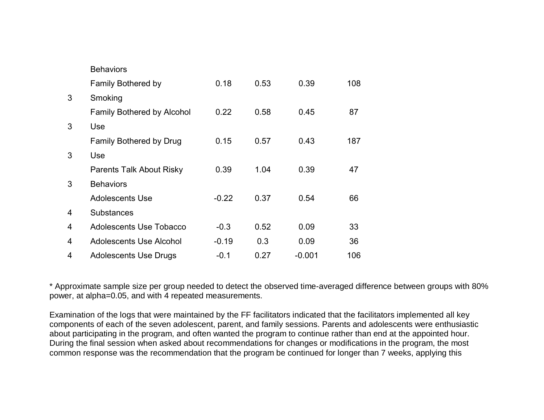|   | <b>Behaviors</b>                  |         |      |          |     |
|---|-----------------------------------|---------|------|----------|-----|
|   | <b>Family Bothered by</b>         | 0.18    | 0.53 | 0.39     | 108 |
| 3 | Smoking                           |         |      |          |     |
|   | <b>Family Bothered by Alcohol</b> | 0.22    | 0.58 | 0.45     | 87  |
| 3 | Use                               |         |      |          |     |
|   | <b>Family Bothered by Drug</b>    | 0.15    | 0.57 | 0.43     | 187 |
| 3 | Use                               |         |      |          |     |
|   | <b>Parents Talk About Risky</b>   | 0.39    | 1.04 | 0.39     | 47  |
| 3 | <b>Behaviors</b>                  |         |      |          |     |
|   | <b>Adolescents Use</b>            | $-0.22$ | 0.37 | 0.54     | 66  |
| 4 | <b>Substances</b>                 |         |      |          |     |
| 4 | <b>Adolescents Use Tobacco</b>    | $-0.3$  | 0.52 | 0.09     | 33  |
| 4 | <b>Adolescents Use Alcohol</b>    | $-0.19$ | 0.3  | 0.09     | 36  |
| 4 | <b>Adolescents Use Drugs</b>      | $-0.1$  | 0.27 | $-0.001$ | 106 |

\* Approximate sample size per group needed to detect the observed time-averaged difference between groups with 80% power, at alpha=0.05, and with 4 repeated measurements.

Examination of the logs that were maintained by the FF facilitators indicated that the facilitators implemented all key components of each of the seven adolescent, parent, and family sessions. Parents and adolescents were enthusiastic about participating in the program, and often wanted the program to continue rather than end at the appointed hour. During the final session when asked about recommendations for changes or modifications in the program, the most common response was the recommendation that the program be continued for longer than 7 weeks, applying this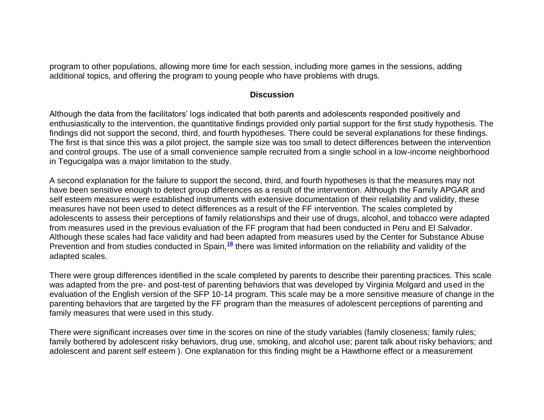program to other populations, allowing more time for each session, including more games in the sessions, adding additional topics, and offering the program to young people who have problems with drugs.

#### **Discussion**

Although the data from the facilitators" logs indicated that both parents and adolescents responded positively and enthusiastically to the intervention, the quantitative findings provided only partial support for the first study hypothesis. The findings did not support the second, third, and fourth hypotheses. There could be several explanations for these findings. The first is that since this was a pilot project, the sample size was too small to detect differences between the intervention and control groups. The use of a small convenience sample recruited from a single school in a low-income neighborhood in Tegucigalpa was a major limitation to the study.

A second explanation for the failure to support the second, third, and fourth hypotheses is that the measures may not have been sensitive enough to detect group differences as a result of the intervention. Although the Family APGAR and self esteem measures were established instruments with extensive documentation of their reliability and validity, these measures have not been used to detect differences as a result of the FF intervention. The scales completed by adolescents to assess their perceptions of family relationships and their use of drugs, alcohol, and tobacco were adapted from measures used in the previous evaluation of the FF program that had been conducted in Peru and El Salvador. Although these scales had face validity and had been adapted from measures used by the Center for Substance Abuse Prevention and from studies conducted in Spain,**[18](http://snrs.org/publications/SOJNR_articles2/n)** there was limited information on the reliability and validity of the adapted scales.

There were group differences identified in the scale completed by parents to describe their parenting practices. This scale was adapted from the pre- and post-test of parenting behaviors that was developed by Virginia Molgard and used in the evaluation of the English version of the SFP 10-14 program. This scale may be a more sensitive measure of change in the parenting behaviors that are targeted by the FF program than the measures of adolescent perceptions of parenting and family measures that were used in this study.

There were significant increases over time in the scores on nine of the study variables (family closeness; family rules; family bothered by adolescent risky behaviors, drug use, smoking, and alcohol use; parent talk about risky behaviors; and adolescent and parent self esteem ). One explanation for this finding might be a Hawthorne effect or a measurement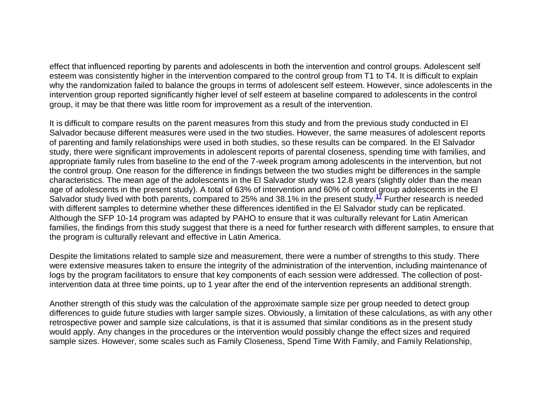effect that influenced reporting by parents and adolescents in both the intervention and control groups. Adolescent self esteem was consistently higher in the intervention compared to the control group from T1 to T4. It is difficult to explain why the randomization failed to balance the groups in terms of adolescent self esteem. However, since adolescents in the intervention group reported significantly higher level of self esteem at baseline compared to adolescents in the control group, it may be that there was little room for improvement as a result of the intervention.

It is difficult to compare results on the parent measures from this study and from the previous study conducted in El Salvador because different measures were used in the two studies. However, the same measures of adolescent reports of parenting and family relationships were used in both studies, so these results can be compared. In the El Salvador study, there were significant improvements in adolescent reports of parental closeness, spending time with families, and appropriate family rules from baseline to the end of the 7-week program among adolescents in the intervention, but not the control group. One reason for the difference in findings between the two studies might be differences in the sample characteristics. The mean age of the adolescents in the El Salvador study was 12.8 years (slightly older than the mean age of adolescents in the present study). A total of 63% of intervention and 60% of control group adolescents in the El Salvador study lived with both parents, compared to 25% and 38.1% in the present study.**[17](http://snrs.org/publications/SOJNR_articles2/n)** Further research is needed with different samples to determine whether these differences identified in the El Salvador study can be replicated. Although the SFP 10-14 program was adapted by PAHO to ensure that it was culturally relevant for Latin American families, the findings from this study suggest that there is a need for further research with different samples, to ensure that the program is culturally relevant and effective in Latin America.

Despite the limitations related to sample size and measurement, there were a number of strengths to this study. There were extensive measures taken to ensure the integrity of the administration of the intervention, including maintenance of logs by the program facilitators to ensure that key components of each session were addressed. The collection of postintervention data at three time points, up to 1 year after the end of the intervention represents an additional strength.

Another strength of this study was the calculation of the approximate sample size per group needed to detect group differences to guide future studies with larger sample sizes. Obviously, a limitation of these calculations, as with any other retrospective power and sample size calculations, is that it is assumed that similar conditions as in the present study would apply. Any changes in the procedures or the intervention would possibly change the effect sizes and required sample sizes. However, some scales such as Family Closeness, Spend Time With Family, and Family Relationship,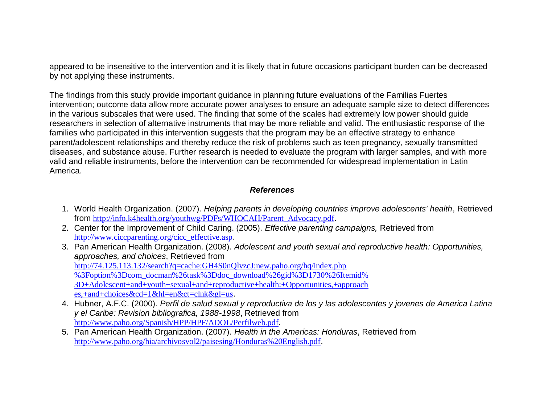appeared to be insensitive to the intervention and it is likely that in future occasions participant burden can be decreased by not applying these instruments.

The findings from this study provide important guidance in planning future evaluations of the Familias Fuertes intervention; outcome data allow more accurate power analyses to ensure an adequate sample size to detect differences in the various subscales that were used. The finding that some of the scales had extremely low power should guide researchers in selection of alternative instruments that may be more reliable and valid. The enthusiastic response of the families who participated in this intervention suggests that the program may be an effective strategy to enhance parent/adolescent relationships and thereby reduce the risk of problems such as teen pregnancy, sexually transmitted diseases, and substance abuse. Further research is needed to evaluate the program with larger samples, and with more valid and reliable instruments, before the intervention can be recommended for widespread implementation in Latin America.

#### *References*

- 1. World Health Organization. (2007). *Helping parents in developing countries improve adolescents' health*, Retrieved from [http://info.k4health.org/youthwg/PDFs/WHOCAH/Parent\\_Advocacy.pdf](http://info.k4health.org/youthwg/PDFs/WHOCAH/Parent_Advocacy.pdf).
- 2. Center for the Improvement of Child Caring. (2005). *Effective parenting campaigns,* Retrieved from [http://www.ciccparenting.org/cicc\\_effective.asp](http://www.ciccparenting.org/cicc_effective.asp).
- 3. Pan American Health Organization. (2008). *Adolescent and youth sexual and reproductive health: Opportunities, approaches, and choices*, Retrieved from <http://74.125.113.132/search?q=cache:GH4S0nQlvzcJ:new.paho.org/hq/index.php> [%3Foption%3Dcom\\_docman%26task%3Ddoc\\_download%26gid%3D1730%26Itemid%](http://74.125.113.132/search?q=cache:GH4S0nQlvzcJ:new.paho.org/hq/index.php) [3D+Adolescent+and+youth+sexual+and+reproductive+health:+Opportunities,+approach](http://74.125.113.132/search?q=cache:GH4S0nQlvzcJ:new.paho.org/hq/index.php) [es,+and+choices&cd=1&hl=en&ct=clnk&gl=us](http://74.125.113.132/search?q=cache:GH4S0nQlvzcJ:new.paho.org/hq/index.php).
- 4. Hubner, A.F.C. (2000). *Perfil de salud sexual y reproductiva de los y las adolescentes y jovenes de America Latina y el Caribe: Revision bibliografica, 1988-1998*, Retrieved from <http://www.paho.org/Spanish/HPP/HPF/ADOL/Perfilweb.pdf>.
- 5. Pan American Health Organization. (2007). *Health in the Americas: Honduras*, Retrieved from <http://www.paho.org/hia/archivosvol2/paisesing/Honduras%20English.pdf>.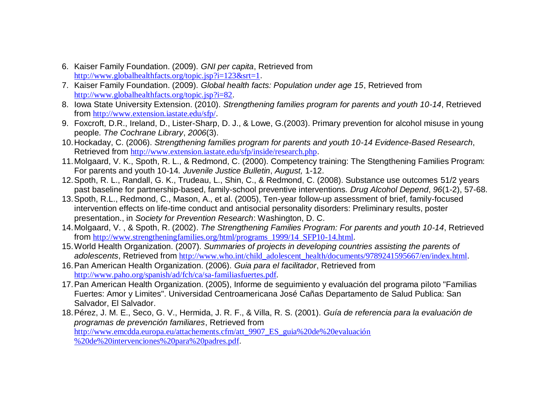- 6. Kaiser Family Foundation. (2009). *GNI per capita*, Retrieved from <http://www.globalhealthfacts.org/topic.jsp?i=123&srt=1>.
- 7. Kaiser Family Foundation. (2009). *Global health facts: Population under age 15*, Retrieved from <http://www.globalhealthfacts.org/topic.jsp?i=82>.
- 8. Iowa State University Extension. (2010). *Strengthening families program for parents and youth 10-14*, Retrieved from <http://www.extension.iastate.edu/sfp/>.
- 9. Foxcroft, D.R., Ireland, D., Lister-Sharp, D. J., & Lowe, G.(2003). Primary prevention for alcohol misuse in young people*. The Cochrane Library*, *2006*(3).
- 10.Hockaday, C. (2006). *Strengthening families program for parents and youth 10-14 Evidence-Based Research*, Retrieved from <http://www.extension.iastate.edu/sfp/inside/research.php>.
- 11.Molgaard, V. K., Spoth, R. L., & Redmond, C. (2000). Competency training: The Stengthening Families Program: For parents and youth 10-14*. Juvenile Justice Bulletin*, *August,* 1-12.
- 12.Spoth, R. L., Randall, G. K., Trudeau, L., Shin, C., & Redmond, C. (2008). Substance use outcomes 51/2 years past baseline for partnership-based, family-school preventive interventions*. Drug Alcohol Depend*, *96*(1-2), 57-68.
- 13.Spoth, R.L., Redmond, C., Mason, A., et al. (2005), Ten-year follow-up assessment of brief, family-focused intervention effects on life-time conduct and antisocial personality disorders: Preliminary results, poster presentation., in *Society for Prevention Research*: Washington, D. C.
- 14.Molgaard, V. , & Spoth, R. (2002). *The Strengthening Families Program: For parents and youth 10-14*, Retrieved from [http://www.strengtheningfamilies.org/html/programs\\_1999/14\\_SFP10-14.html](http://www.strengtheningfamilies.org/html/programs_1999/14_SFP10-14.html).
- 15.World Health Organization. (2007). *Summaries of projects in developing countries assisting the parents of adolescents*, Retrieved from [http://www.who.int/child\\_adolescent\\_health/documents/9789241595667/en/index.html](http://www.who.int/child_adolescent_health/documents/9789241595667/en/index.html).
- 16.Pan American Health Organization. (2006). *Guia para el facilitador*, Retrieved from <http://www.paho.org/spanish/ad/fch/ca/sa-familiasfuertes.pdf>.
- 17.Pan American Health Organization. (2005), Informe de seguimiento y evaluación del programa piloto "Familias Fuertes: Amor y Limites". Universidad Centroamericana José Cañas Departamento de Salud Publica: San Salvador, El Salvador.
- 18.Pérez, J. M. E., Seco, G. V., Hermida, J. R. F., & Villa, R. S. (2001). *Guía de referencia para la evaluación de programas de prevención familiares*, Retrieved from [http://www.emcdda.europa.eu/attachements.cfm/att\\_9907\\_ES\\_guia%20de%20evaluación](http://www.emcdda.europa.eu/attachements.cfm/att_9907_ES_guia%20de%20evaluación) [%20de%20intervenciones%20para%20padres.pdf](http://www.emcdda.europa.eu/attachements.cfm/att_9907_ES_guia%20de%20evaluación).